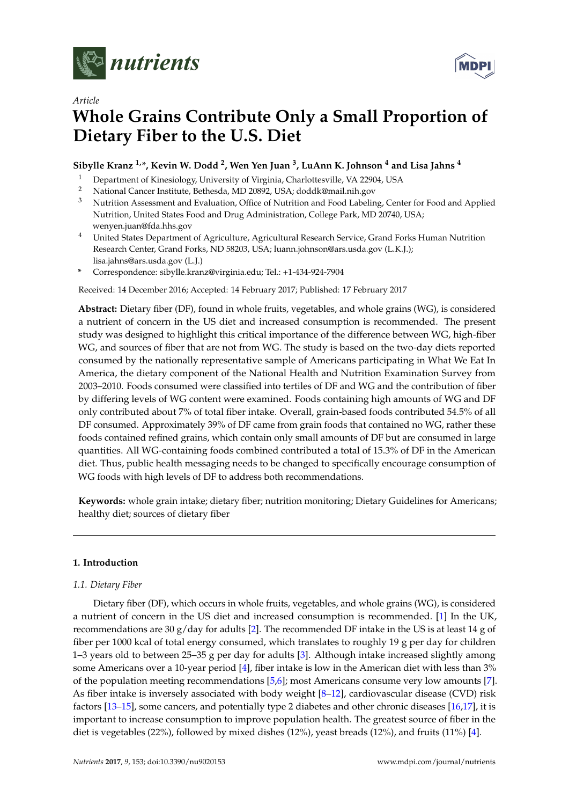

*Article*



# **Whole Grains Contribute Only a Small Proportion of Dietary Fiber to the U.S. Diet**

# **Sibylle Kranz 1,\*, Kevin W. Dodd <sup>2</sup> , Wen Yen Juan <sup>3</sup> , LuAnn K. Johnson <sup>4</sup> and Lisa Jahns <sup>4</sup>**

- <sup>1</sup> Department of Kinesiology, University of Virginia, Charlottesville, VA 22904, USA
- <sup>2</sup> National Cancer Institute, Bethesda, MD 20892, USA; doddk@mail.nih.gov
- <sup>3</sup> Nutrition Assessment and Evaluation, Office of Nutrition and Food Labeling, Center for Food and Applied Nutrition, United States Food and Drug Administration, College Park, MD 20740, USA; wenyen.juan@fda.hhs.gov
- <sup>4</sup> United States Department of Agriculture, Agricultural Research Service, Grand Forks Human Nutrition Research Center, Grand Forks, ND 58203, USA; luann.johnson@ars.usda.gov (L.K.J.); lisa.jahns@ars.usda.gov (L.J.)
- **\*** Correspondence: sibylle.kranz@virginia.edu; Tel.: +1-434-924-7904

Received: 14 December 2016; Accepted: 14 February 2017; Published: 17 February 2017

**Abstract:** Dietary fiber (DF), found in whole fruits, vegetables, and whole grains (WG), is considered a nutrient of concern in the US diet and increased consumption is recommended. The present study was designed to highlight this critical importance of the difference between WG, high-fiber WG, and sources of fiber that are not from WG. The study is based on the two-day diets reported consumed by the nationally representative sample of Americans participating in What We Eat In America, the dietary component of the National Health and Nutrition Examination Survey from 2003–2010. Foods consumed were classified into tertiles of DF and WG and the contribution of fiber by differing levels of WG content were examined. Foods containing high amounts of WG and DF only contributed about 7% of total fiber intake. Overall, grain-based foods contributed 54.5% of all DF consumed. Approximately 39% of DF came from grain foods that contained no WG, rather these foods contained refined grains, which contain only small amounts of DF but are consumed in large quantities. All WG-containing foods combined contributed a total of 15.3% of DF in the American diet. Thus, public health messaging needs to be changed to specifically encourage consumption of WG foods with high levels of DF to address both recommendations.

**Keywords:** whole grain intake; dietary fiber; nutrition monitoring; Dietary Guidelines for Americans; healthy diet; sources of dietary fiber

## **1. Introduction**

## *1.1. Dietary Fiber*

Dietary fiber (DF), which occurs in whole fruits, vegetables, and whole grains (WG), is considered a nutrient of concern in the US diet and increased consumption is recommended. [\[1\]](#page-5-0) In the UK, recommendations are 30 g/day for adults [\[2\]](#page-5-1). The recommended DF intake in the US is at least 14 g of fiber per 1000 kcal of total energy consumed, which translates to roughly 19 g per day for children 1–3 years old to between 25–35 g per day for adults [\[3\]](#page-6-0). Although intake increased slightly among some Americans over a 10-year period [\[4\]](#page-6-1), fiber intake is low in the American diet with less than 3% of the population meeting recommendations [\[5,](#page-6-2)[6\]](#page-6-3); most Americans consume very low amounts [\[7\]](#page-6-4). As fiber intake is inversely associated with body weight [\[8](#page-6-5)[–12\]](#page-6-6), cardiovascular disease (CVD) risk factors [\[13](#page-6-7)[–15\]](#page-6-8), some cancers, and potentially type 2 diabetes and other chronic diseases [\[16,](#page-6-9)[17\]](#page-6-10), it is important to increase consumption to improve population health. The greatest source of fiber in the diet is vegetables (22%), followed by mixed dishes (12%), yeast breads (12%), and fruits (11%) [\[4\]](#page-6-1).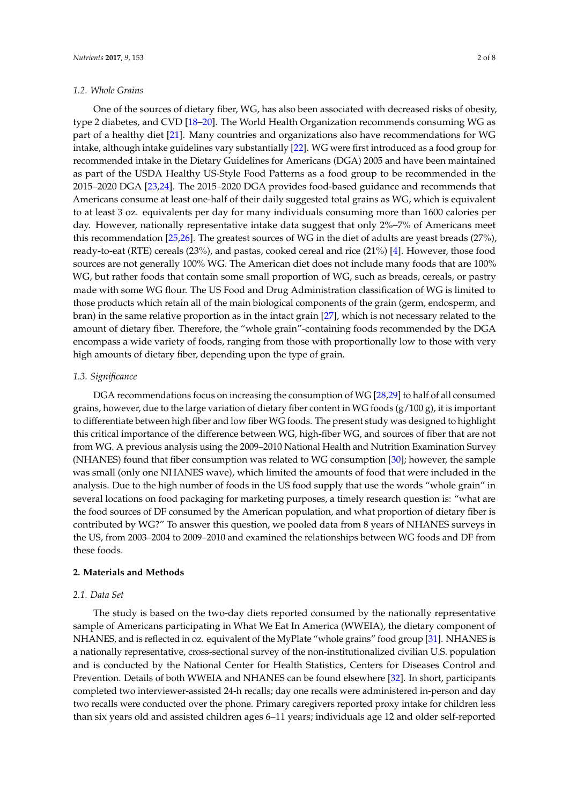#### *1.2. Whole Grains*

One of the sources of dietary fiber, WG, has also been associated with decreased risks of obesity, type 2 diabetes, and CVD [\[18–](#page-6-11)[20\]](#page-6-12). The World Health Organization recommends consuming WG as part of a healthy diet [\[21\]](#page-6-13). Many countries and organizations also have recommendations for WG intake, although intake guidelines vary substantially [\[22\]](#page-6-14). WG were first introduced as a food group for recommended intake in the Dietary Guidelines for Americans (DGA) 2005 and have been maintained as part of the USDA Healthy US-Style Food Patterns as a food group to be recommended in the 2015–2020 DGA [\[23,](#page-7-0)[24\]](#page-7-1). The 2015–2020 DGA provides food-based guidance and recommends that Americans consume at least one-half of their daily suggested total grains as WG, which is equivalent to at least 3 oz. equivalents per day for many individuals consuming more than 1600 calories per day. However, nationally representative intake data suggest that only 2%–7% of Americans meet this recommendation [\[25](#page-7-2)[,26\]](#page-7-3). The greatest sources of WG in the diet of adults are yeast breads (27%), ready-to-eat (RTE) cereals (23%), and pastas, cooked cereal and rice (21%) [\[4\]](#page-6-1). However, those food sources are not generally 100% WG. The American diet does not include many foods that are 100% WG, but rather foods that contain some small proportion of WG, such as breads, cereals, or pastry made with some WG flour. The US Food and Drug Administration classification of WG is limited to those products which retain all of the main biological components of the grain (germ, endosperm, and bran) in the same relative proportion as in the intact grain [\[27\]](#page-7-4), which is not necessary related to the amount of dietary fiber. Therefore, the "whole grain"-containing foods recommended by the DGA encompass a wide variety of foods, ranging from those with proportionally low to those with very high amounts of dietary fiber, depending upon the type of grain.

#### *1.3. Significance*

DGA recommendations focus on increasing the consumption of WG [\[28](#page-7-5)[,29\]](#page-7-6) to half of all consumed grains, however, due to the large variation of dietary fiber content in WG foods  $(g/100 g)$ , it is important to differentiate between high fiber and low fiber WG foods. The present study was designed to highlight this critical importance of the difference between WG, high-fiber WG, and sources of fiber that are not from WG. A previous analysis using the 2009–2010 National Health and Nutrition Examination Survey (NHANES) found that fiber consumption was related to WG consumption [\[30\]](#page-7-7); however, the sample was small (only one NHANES wave), which limited the amounts of food that were included in the analysis. Due to the high number of foods in the US food supply that use the words "whole grain" in several locations on food packaging for marketing purposes, a timely research question is: "what are the food sources of DF consumed by the American population, and what proportion of dietary fiber is contributed by WG?" To answer this question, we pooled data from 8 years of NHANES surveys in the US, from 2003–2004 to 2009–2010 and examined the relationships between WG foods and DF from these foods.

### **2. Materials and Methods**

#### *2.1. Data Set*

The study is based on the two-day diets reported consumed by the nationally representative sample of Americans participating in What We Eat In America (WWEIA), the dietary component of NHANES, and is reflected in oz. equivalent of the MyPlate "whole grains" food group [\[31\]](#page-7-8). NHANES is a nationally representative, cross-sectional survey of the non-institutionalized civilian U.S. population and is conducted by the National Center for Health Statistics, Centers for Diseases Control and Prevention. Details of both WWEIA and NHANES can be found elsewhere [\[32\]](#page-7-9). In short, participants completed two interviewer-assisted 24-h recalls; day one recalls were administered in-person and day two recalls were conducted over the phone. Primary caregivers reported proxy intake for children less than six years old and assisted children ages 6–11 years; individuals age 12 and older self-reported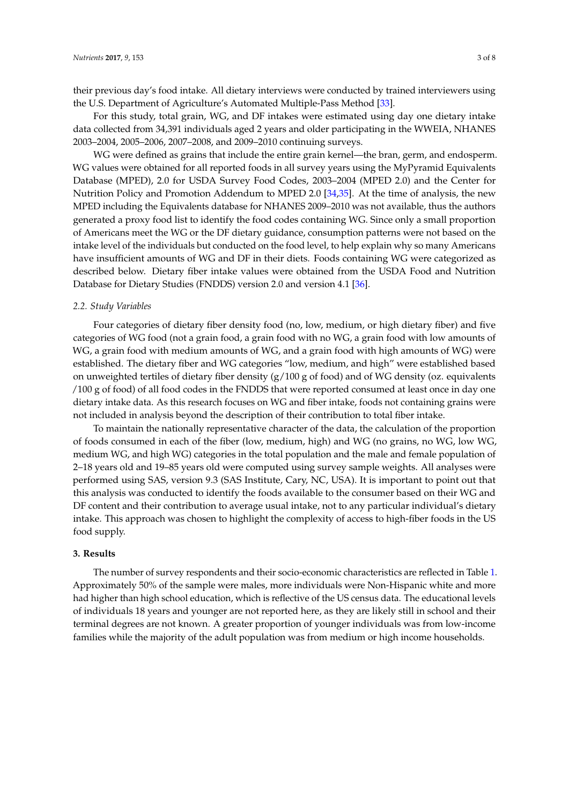their previous day's food intake. All dietary interviews were conducted by trained interviewers using the U.S. Department of Agriculture's Automated Multiple-Pass Method [\[33\]](#page-7-10).

For this study, total grain, WG, and DF intakes were estimated using day one dietary intake data collected from 34,391 individuals aged 2 years and older participating in the WWEIA, NHANES 2003–2004, 2005–2006, 2007–2008, and 2009–2010 continuing surveys.

WG were defined as grains that include the entire grain kernel—the bran, germ, and endosperm. WG values were obtained for all reported foods in all survey years using the MyPyramid Equivalents Database (MPED), 2.0 for USDA Survey Food Codes, 2003–2004 (MPED 2.0) and the Center for Nutrition Policy and Promotion Addendum to MPED 2.0 [\[34](#page-7-11)[,35\]](#page-7-12). At the time of analysis, the new MPED including the Equivalents database for NHANES 2009–2010 was not available, thus the authors generated a proxy food list to identify the food codes containing WG. Since only a small proportion of Americans meet the WG or the DF dietary guidance, consumption patterns were not based on the intake level of the individuals but conducted on the food level, to help explain why so many Americans have insufficient amounts of WG and DF in their diets. Foods containing WG were categorized as described below. Dietary fiber intake values were obtained from the USDA Food and Nutrition Database for Dietary Studies (FNDDS) version 2.0 and version 4.1 [\[36\]](#page-7-13).

#### *2.2. Study Variables*

Four categories of dietary fiber density food (no, low, medium, or high dietary fiber) and five categories of WG food (not a grain food, a grain food with no WG, a grain food with low amounts of WG, a grain food with medium amounts of WG, and a grain food with high amounts of WG) were established. The dietary fiber and WG categories "low, medium, and high" were established based on unweighted tertiles of dietary fiber density  $(g/100 g$  of food) and of WG density (oz. equivalents /100 g of food) of all food codes in the FNDDS that were reported consumed at least once in day one dietary intake data. As this research focuses on WG and fiber intake, foods not containing grains were not included in analysis beyond the description of their contribution to total fiber intake.

To maintain the nationally representative character of the data, the calculation of the proportion of foods consumed in each of the fiber (low, medium, high) and WG (no grains, no WG, low WG, medium WG, and high WG) categories in the total population and the male and female population of 2–18 years old and 19–85 years old were computed using survey sample weights. All analyses were performed using SAS, version 9.3 (SAS Institute, Cary, NC, USA). It is important to point out that this analysis was conducted to identify the foods available to the consumer based on their WG and DF content and their contribution to average usual intake, not to any particular individual's dietary intake. This approach was chosen to highlight the complexity of access to high-fiber foods in the US food supply.

#### **3. Results**

The number of survey respondents and their socio-economic characteristics are reflected in Table [1.](#page-3-0) Approximately 50% of the sample were males, more individuals were Non-Hispanic white and more had higher than high school education, which is reflective of the US census data. The educational levels of individuals 18 years and younger are not reported here, as they are likely still in school and their terminal degrees are not known. A greater proportion of younger individuals was from low-income families while the majority of the adult population was from medium or high income households.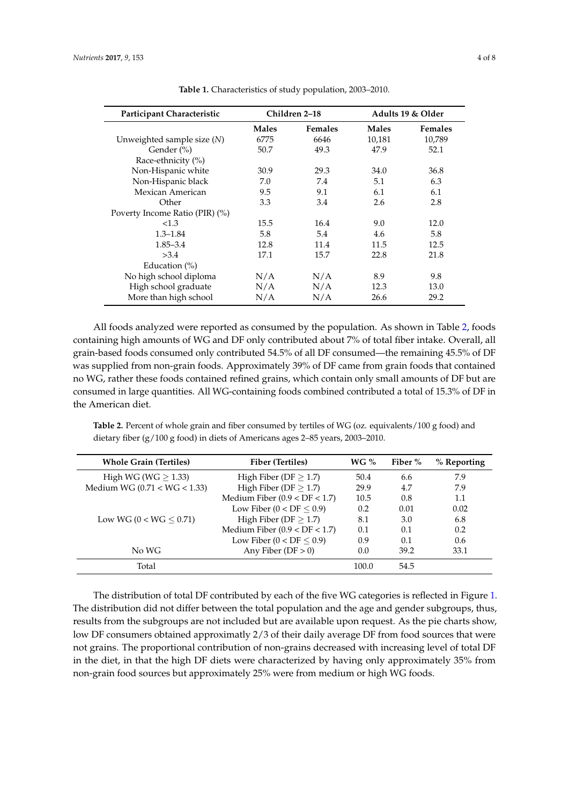<span id="page-3-0"></span>

| Participant Characteristic     | Children 2–18 |                | Adults 19 & Older |                |
|--------------------------------|---------------|----------------|-------------------|----------------|
|                                | <b>Males</b>  | <b>Females</b> | <b>Males</b>      | <b>Females</b> |
| Unweighted sample size $(N)$   | 6775          | 6646           | 10,181            | 10,789         |
| Gender (%)                     | 50.7          | 49.3           | 47.9              | 52.1           |
| Race-ethnicity (%)             |               |                |                   |                |
| Non-Hispanic white             | 30.9          | 29.3           | 34.0              | 36.8           |
| Non-Hispanic black             | 7.0           | 7.4            | 5.1               | 6.3            |
| Mexican American               | 9.5           | 9.1            | 6.1               | 6.1            |
| Other                          | 3.3           | 3.4            | 2.6               | 2.8            |
| Poverty Income Ratio (PIR) (%) |               |                |                   |                |
| <1.3                           | 15.5          | 16.4           | 9.0               | 12.0           |
| $1.3 - 1.84$                   | 5.8           | 5.4            | 4.6               | 5.8            |
| $1.85 - 3.4$                   | 12.8          | 11.4           | 11.5              | 12.5           |
| >3.4                           | 17.1          | 15.7           | 22.8              | 21.8           |
| Education $(\% )$              |               |                |                   |                |
| No high school diploma         | N/A           | N/A            | 8.9               | 9.8            |
| High school graduate           | N/A           | N/A            | 12.3              | 13.0           |
| More than high school          | N/A           | N/A            | 26.6              | 29.2           |

**Table 1.** Characteristics of study population, 2003–2010.

All foods analyzed were reported as consumed by the population. As shown in Table [2,](#page-3-1) foods containing high amounts of WG and DF only contributed about 7% of total fiber intake. Overall, all grain-based foods consumed only contributed 54.5% of all DF consumed—the remaining 45.5% of DF was supplied from non-grain foods. Approximately 39% of DF came from grain foods that contained no WG, rather these foods contained refined grains, which contain only small amounts of DF but are consumed in large quantities. All WG-containing foods combined contributed a total of 15.3% of DF in the American diet.

<span id="page-3-1"></span>**Table 2.** Percent of whole grain and fiber consumed by tertiles of WG (oz. equivalents/100 g food) and dietary fiber (g/100 g food) in diets of Americans ages 2–85 years, 2003–2010.

| <b>Whole Grain (Tertiles)</b>    | Fiber (Tertiles)                | WG $\%$ | Fiber % | % Reporting   |
|----------------------------------|---------------------------------|---------|---------|---------------|
| High WG (WG $> 1.33$ )           | High Fiber ( $DF > 1.7$ )       | 50.4    | 6.6     | 7.9           |
| Medium WG ( $0.71 < WG < 1.33$ ) | High Fiber ( $DF \geq 1.7$ )    | 29.9    | 4.7     | 7.9           |
|                                  | Medium Fiber $(0.9 < DF < 1.7)$ | 10.5    | 0.8     | 1.1           |
|                                  | Low Fiber ( $0 < DF \leq 0.9$ ) | 0.2     | 0.01    | 0.02          |
| Low WG $(0 < WG \leq 0.71)$      | High Fiber (DF $\geq$ 1.7)      | 8.1     | 3.0     | 6.8           |
|                                  | Medium Fiber $(0.9 < DF < 1.7)$ | 0.1     | 0.1     | 0.2           |
|                                  | Low Fiber $(0 < DF < 0.9)$      | 0.9     | 0.1     | $0.6^{\circ}$ |
| No WG                            | Any Fiber ( $DF > 0$ )          | 0.0     | 39.2    | 33.1          |
| Total                            |                                 | 100.0   | 54.5    |               |

The distribution of total DF contributed by each of the five WG categories is reflected in Figure [1.](#page-4-0) The distribution did not differ between the total population and the age and gender subgroups, thus, results from the subgroups are not included but are available upon request. As the pie charts show, low DF consumers obtained approximatly 2/3 of their daily average DF from food sources that were not grains. The proportional contribution of non-grains decreased with increasing level of total DF in the diet, in that the high DF diets were characterized by having only approximately 35% from non-grain food sources but approximately 25% were from medium or high WG foods.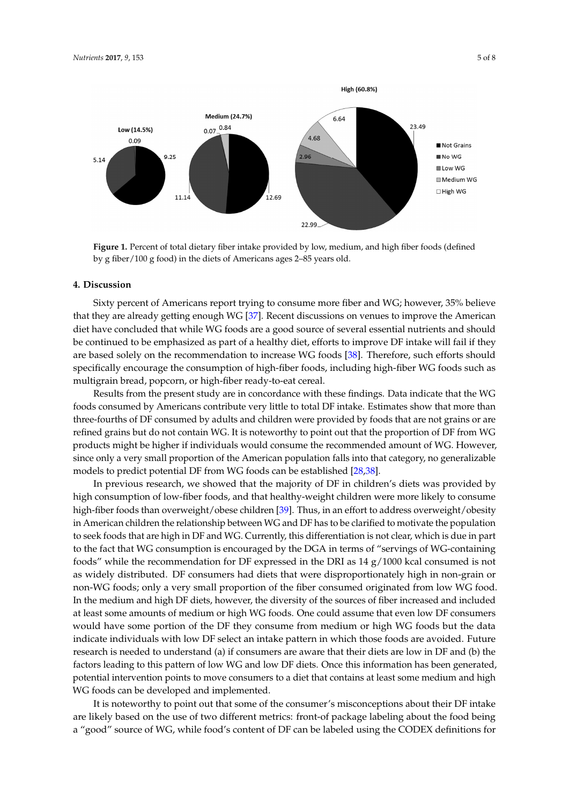<span id="page-4-0"></span>

**Figure 1.** Percent of total dietary fiber intake provided by low, medium, and high fiber foods **Figure 1.** Percent of total dietary fiber intake provided by low, medium, and high fiber foods (defined (defined by g fiber/100 g food) in the diets of Americans ages 2–85 years old. by g fiber/100 g food) in the diets of Americans ages 2–85 years old.

#### **4. Discussion 4. Discussion**

Sixty percent of Americans report trying to consume more fiber and WG; however, 35% believe Sixty percent of Americans report trying to consume more fiber and WG; however, 35% believe that they are already getting enough [WG](#page-7-14) [37]. Recent discussions on venues to improve the American diet have concluded that while WG foods are a good source of several essential nutrients and should be continued to be emphasized as part of a healthy diet, efforts to improve DF intake will fail if they are based solely on the recommendation to increase WG foods [\[38\]](#page-7-15). Therefore, such efforts should specifically encourage the consumption of high-fiber foods, including high-fiber WG foods such as such as multigrain bread, popcorn, or high‐fiber ready‐to‐eat cereal. multigrain bread, popcorn, or high-fiber ready-to-eat cereal.

Results from the present study are in concordance with these findings. Data indicate that the Results from the present study are in concordance with these findings. Data indicate that the WG  $\frac{M_{\text{C}}}{M_{\text{C}}}$  foods consumed by Americans contribute very little to the DF interfoods consumed by Americans contribute very little to total DF intake. Estimates show that more than three-fourths of DF consumed by adults and children were provided by foods that are not grains or are refined grains but do not contain WG. It is noteworthy to point out that the proportion of DF from WG products might be higher if individuals would consume the recommended amount of WG. However, since only a very small proportion of the American population falls into that category, no generalizable models to predict potential DF from WG foods can be established [\[28,](#page-7-5)[38\]](#page-7-15).

In previous research, we showed that the majority of DF in children's diets was provided by high consumption of low-fiber foods, and that healthy-weight children were more likely to consume high-fiber foods than overweight/obese children [<mark>39]</mark>. Thus, in an effort to address overweight/obesity in American children the relationship between WG and DF has to be clarified to motivate the population to seek foods that are high in DF and WG. Currently, this differentiation is not clear, which is due in part to the fact that WG consumption is encouraged by the DGA in terms of "servings of WG-containing foods" while the recommendation for DF expressed in the DRI as 14 g/1000 kcal consumed is not as widely distributed. DF consumers had diets that were disproportionately high in non-grain or non-WG foods; only a very small proportion of the fiber consumed originated from low WG food. In the medium and high DF diets, however, the diversity of the sources of fiber increased and included In the medium and high DF diets, however, the diversity of the sources of fiber increased and included one could as the could have consumers would have some position of the DF theorem in the DF the DF the DF the DF the DF the DF the DF the DF the DF the DF the DF the DF the DF the DF the DF the DF the DF the DF the DF the D at least some amounts of medium or high WG foods. One could assume that even low DF consumers would have some portion of the DF they consume from medium or high WG foods but the data indicate individuals with low DF select an intake pattern in which those foods are avoided. Future research is needed to understand (a) if consumers are aware that their diets are low in DF and (b) the factors leading to this pattern of low WG and low DF diets. Once this information has been generated, potential intervention points to move consumers to a diet that contains at least some medium and high WG foods can be developed and implemented.

It is noteworthy to point out that some of the consumer's misconceptions about their DF intake are likely based on the use of two different metrics: front-of package labeling about the food being a "good" source of WG, while food's content of DF can be labeled using the CODEX definitions for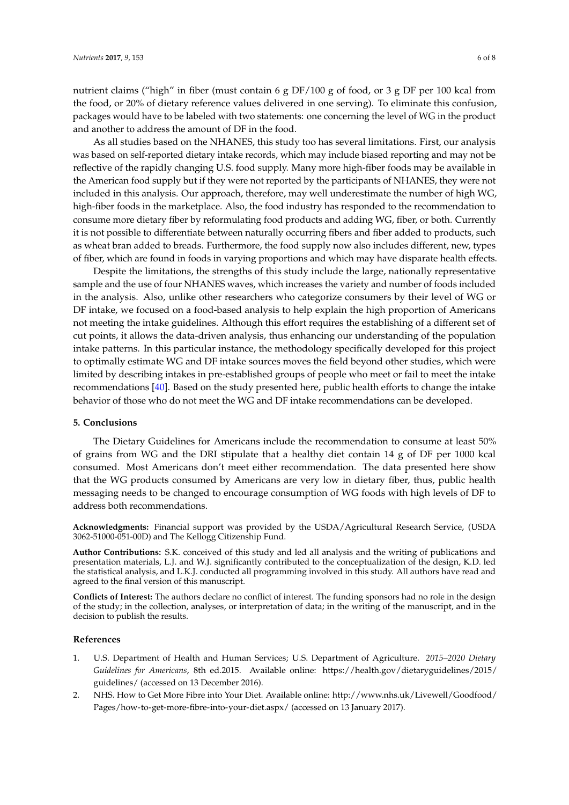nutrient claims ("high" in fiber (must contain 6 g DF/100 g of food, or 3 g DF per 100 kcal from the food, or 20% of dietary reference values delivered in one serving). To eliminate this confusion, packages would have to be labeled with two statements: one concerning the level of WG in the product and another to address the amount of DF in the food.

As all studies based on the NHANES, this study too has several limitations. First, our analysis was based on self-reported dietary intake records, which may include biased reporting and may not be reflective of the rapidly changing U.S. food supply. Many more high-fiber foods may be available in the American food supply but if they were not reported by the participants of NHANES, they were not included in this analysis. Our approach, therefore, may well underestimate the number of high WG, high-fiber foods in the marketplace. Also, the food industry has responded to the recommendation to consume more dietary fiber by reformulating food products and adding WG, fiber, or both. Currently it is not possible to differentiate between naturally occurring fibers and fiber added to products, such as wheat bran added to breads. Furthermore, the food supply now also includes different, new, types of fiber, which are found in foods in varying proportions and which may have disparate health effects.

Despite the limitations, the strengths of this study include the large, nationally representative sample and the use of four NHANES waves, which increases the variety and number of foods included in the analysis. Also, unlike other researchers who categorize consumers by their level of WG or DF intake, we focused on a food-based analysis to help explain the high proportion of Americans not meeting the intake guidelines. Although this effort requires the establishing of a different set of cut points, it allows the data-driven analysis, thus enhancing our understanding of the population intake patterns. In this particular instance, the methodology specifically developed for this project to optimally estimate WG and DF intake sources moves the field beyond other studies, which were limited by describing intakes in pre-established groups of people who meet or fail to meet the intake recommendations [\[40\]](#page-7-17). Based on the study presented here, public health efforts to change the intake behavior of those who do not meet the WG and DF intake recommendations can be developed.

#### **5. Conclusions**

The Dietary Guidelines for Americans include the recommendation to consume at least 50% of grains from WG and the DRI stipulate that a healthy diet contain 14 g of DF per 1000 kcal consumed. Most Americans don't meet either recommendation. The data presented here show that the WG products consumed by Americans are very low in dietary fiber, thus, public health messaging needs to be changed to encourage consumption of WG foods with high levels of DF to address both recommendations.

**Acknowledgments:** Financial support was provided by the USDA/Agricultural Research Service, (USDA 3062-51000-051-00D) and The Kellogg Citizenship Fund.

**Author Contributions:** S.K. conceived of this study and led all analysis and the writing of publications and presentation materials, L.J. and W.J. significantly contributed to the conceptualization of the design, K.D. led the statistical analysis, and L.K.J. conducted all programming involved in this study. All authors have read and agreed to the final version of this manuscript.

**Conflicts of Interest:** The authors declare no conflict of interest. The funding sponsors had no role in the design of the study; in the collection, analyses, or interpretation of data; in the writing of the manuscript, and in the decision to publish the results.

#### **References**

- <span id="page-5-0"></span>1. U.S. Department of Health and Human Services; U.S. Department of Agriculture. *2015–2020 Dietary Guidelines for Americans*, 8th ed.2015. Available online: [https://health.gov/dietaryguidelines/2015/](https://health.gov/dietaryguidelines/2015/guidelines/) [guidelines/](https://health.gov/dietaryguidelines/2015/guidelines/) (accessed on 13 December 2016).
- <span id="page-5-1"></span>2. NHS. How to Get More Fibre into Your Diet. Available online: [http://www.nhs.uk/Livewell/Goodfood/](http://www.nhs.uk/Livewell/Goodfood/Pages/how-to-get-more-fibre-into-your-diet.aspx/) [Pages/how-to-get-more-fibre-into-your-diet.aspx/](http://www.nhs.uk/Livewell/Goodfood/Pages/how-to-get-more-fibre-into-your-diet.aspx/) (accessed on 13 January 2017).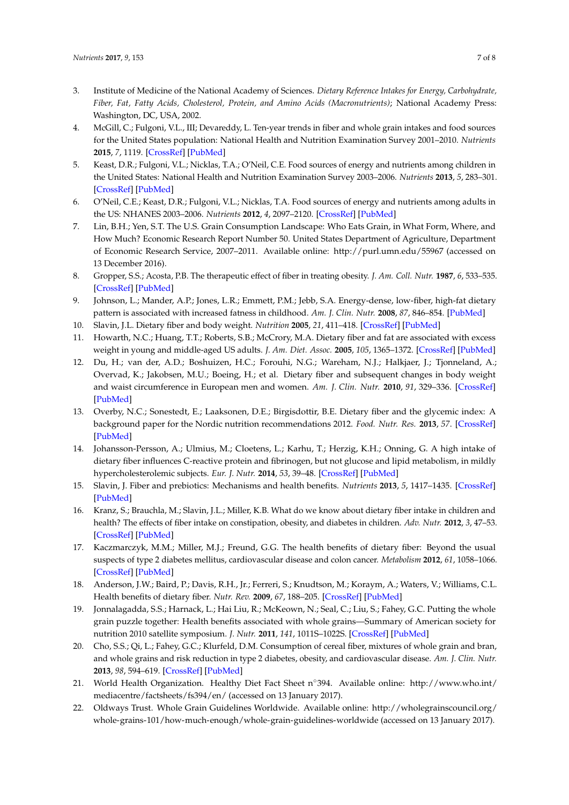- <span id="page-6-0"></span>3. Institute of Medicine of the National Academy of Sciences. *Dietary Reference Intakes for Energy, Carbohydrate, Fiber, Fat, Fatty Acids, Cholesterol, Protein, and Amino Acids (Macronutrients)*; National Academy Press: Washington, DC, USA, 2002.
- <span id="page-6-1"></span>4. McGill, C.; Fulgoni, V.L., III; Devareddy, L. Ten-year trends in fiber and whole grain intakes and food sources for the United States population: National Health and Nutrition Examination Survey 2001–2010. *Nutrients* **2015**, *7*, 1119. [\[CrossRef\]](http://dx.doi.org/10.3390/nu7021119) [\[PubMed\]](http://www.ncbi.nlm.nih.gov/pubmed/25671414)
- <span id="page-6-2"></span>5. Keast, D.R.; Fulgoni, V.L.; Nicklas, T.A.; O'Neil, C.E. Food sources of energy and nutrients among children in the United States: National Health and Nutrition Examination Survey 2003–2006. *Nutrients* **2013**, *5*, 283–301. [\[CrossRef\]](http://dx.doi.org/10.3390/nu5010283) [\[PubMed\]](http://www.ncbi.nlm.nih.gov/pubmed/23340318)
- <span id="page-6-3"></span>6. O'Neil, C.E.; Keast, D.R.; Fulgoni, V.L.; Nicklas, T.A. Food sources of energy and nutrients among adults in the US: NHANES 2003–2006. *Nutrients* **2012**, *4*, 2097–2120. [\[CrossRef\]](http://dx.doi.org/10.3390/nu4122097) [\[PubMed\]](http://www.ncbi.nlm.nih.gov/pubmed/23363999)
- <span id="page-6-4"></span>7. Lin, B.H.; Yen, S.T. The U.S. Grain Consumption Landscape: Who Eats Grain, in What Form, Where, and How Much? Economic Research Report Number 50. United States Department of Agriculture, Department of Economic Research Service, 2007–2011. Available online: <http://purl.umn.edu/55967> (accessed on 13 December 2016).
- <span id="page-6-5"></span>8. Gropper, S.S.; Acosta, P.B. The therapeutic effect of fiber in treating obesity. *J. Am. Coll. Nutr.* **1987**, *6*, 533–535. [\[CrossRef\]](http://dx.doi.org/10.1080/07315724.1987.10720213) [\[PubMed\]](http://www.ncbi.nlm.nih.gov/pubmed/2826563)
- 9. Johnson, L.; Mander, A.P.; Jones, L.R.; Emmett, P.M.; Jebb, S.A. Energy-dense, low-fiber, high-fat dietary pattern is associated with increased fatness in childhood. *Am. J. Clin. Nutr.* **2008**, *87*, 846–854. [\[PubMed\]](http://www.ncbi.nlm.nih.gov/pubmed/18400706)
- 10. Slavin, J.L. Dietary fiber and body weight. *Nutrition* **2005**, *21*, 411–418. [\[CrossRef\]](http://dx.doi.org/10.1016/j.nut.2004.08.018) [\[PubMed\]](http://www.ncbi.nlm.nih.gov/pubmed/15797686)
- 11. Howarth, N.C.; Huang, T.T.; Roberts, S.B.; McCrory, M.A. Dietary fiber and fat are associated with excess weight in young and middle-aged US adults. *J. Am. Diet. Assoc.* **2005**, *105*, 1365–1372. [\[CrossRef\]](http://dx.doi.org/10.1016/j.jada.2005.06.001) [\[PubMed\]](http://www.ncbi.nlm.nih.gov/pubmed/16129077)
- <span id="page-6-6"></span>12. Du, H.; van der, A.D.; Boshuizen, H.C.; Forouhi, N.G.; Wareham, N.J.; Halkjaer, J.; Tjonneland, A.; Overvad, K.; Jakobsen, M.U.; Boeing, H.; et al. Dietary fiber and subsequent changes in body weight and waist circumference in European men and women. *Am. J. Clin. Nutr.* **2010**, *91*, 329–336. [\[CrossRef\]](http://dx.doi.org/10.3945/ajcn.2009.28191) [\[PubMed\]](http://www.ncbi.nlm.nih.gov/pubmed/20016015)
- <span id="page-6-7"></span>13. Overby, N.C.; Sonestedt, E.; Laaksonen, D.E.; Birgisdottir, B.E. Dietary fiber and the glycemic index: A background paper for the Nordic nutrition recommendations 2012. *Food. Nutr. Res.* **2013**, *57*. [\[CrossRef\]](http://dx.doi.org/10.3402/fnr.v57i0.20709) [\[PubMed\]](http://www.ncbi.nlm.nih.gov/pubmed/23538683)
- 14. Johansson-Persson, A.; Ulmius, M.; Cloetens, L.; Karhu, T.; Herzig, K.H.; Onning, G. A high intake of dietary fiber influences C-reactive protein and fibrinogen, but not glucose and lipid metabolism, in mildly hypercholesterolemic subjects. *Eur. J. Nutr.* **2014**, *53*, 39–48. [\[CrossRef\]](http://dx.doi.org/10.1007/s00394-013-0496-8) [\[PubMed\]](http://www.ncbi.nlm.nih.gov/pubmed/23389112)
- <span id="page-6-8"></span>15. Slavin, J. Fiber and prebiotics: Mechanisms and health benefits. *Nutrients* **2013**, *5*, 1417–1435. [\[CrossRef\]](http://dx.doi.org/10.3390/nu5041417) [\[PubMed\]](http://www.ncbi.nlm.nih.gov/pubmed/23609775)
- <span id="page-6-9"></span>16. Kranz, S.; Brauchla, M.; Slavin, J.L.; Miller, K.B. What do we know about dietary fiber intake in children and health? The effects of fiber intake on constipation, obesity, and diabetes in children. *Adv. Nutr.* **2012**, *3*, 47–53. [\[CrossRef\]](http://dx.doi.org/10.3945/an.111.001362) [\[PubMed\]](http://www.ncbi.nlm.nih.gov/pubmed/22332100)
- <span id="page-6-10"></span>17. Kaczmarczyk, M.M.; Miller, M.J.; Freund, G.G. The health benefits of dietary fiber: Beyond the usual suspects of type 2 diabetes mellitus, cardiovascular disease and colon cancer. *Metabolism* **2012**, *61*, 1058–1066. [\[CrossRef\]](http://dx.doi.org/10.1016/j.metabol.2012.01.017) [\[PubMed\]](http://www.ncbi.nlm.nih.gov/pubmed/22401879)
- <span id="page-6-11"></span>18. Anderson, J.W.; Baird, P.; Davis, R.H., Jr.; Ferreri, S.; Knudtson, M.; Koraym, A.; Waters, V.; Williams, C.L. Health benefits of dietary fiber. *Nutr. Rev.* **2009**, *67*, 188–205. [\[CrossRef\]](http://dx.doi.org/10.1111/j.1753-4887.2009.00189.x) [\[PubMed\]](http://www.ncbi.nlm.nih.gov/pubmed/19335713)
- 19. Jonnalagadda, S.S.; Harnack, L.; Hai Liu, R.; McKeown, N.; Seal, C.; Liu, S.; Fahey, G.C. Putting the whole grain puzzle together: Health benefits associated with whole grains—Summary of American society for nutrition 2010 satellite symposium. *J. Nutr.* **2011**, *141*, 1011S–1022S. [\[CrossRef\]](http://dx.doi.org/10.3945/jn.110.132944) [\[PubMed\]](http://www.ncbi.nlm.nih.gov/pubmed/21451131)
- <span id="page-6-12"></span>20. Cho, S.S.; Qi, L.; Fahey, G.C.; Klurfeld, D.M. Consumption of cereal fiber, mixtures of whole grain and bran, and whole grains and risk reduction in type 2 diabetes, obesity, and cardiovascular disease. *Am. J. Clin. Nutr.* **2013**, *98*, 594–619. [\[CrossRef\]](http://dx.doi.org/10.3945/ajcn.113.067629) [\[PubMed\]](http://www.ncbi.nlm.nih.gov/pubmed/23803885)
- <span id="page-6-13"></span>21. World Health Organization. Healthy Diet Fact Sheet n◦394. Available online: [http://www.who.int/](http://www.who.int/mediacentre/factsheets/fs394/en/) [mediacentre/factsheets/fs394/en/](http://www.who.int/mediacentre/factsheets/fs394/en/) (accessed on 13 January 2017).
- <span id="page-6-14"></span>22. Oldways Trust. Whole Grain Guidelines Worldwide. Available online: [http://wholegrainscouncil.org/](http://wholegrainscouncil.org/whole-grains-101/how-much-enough/whole-grain-guidelines-worldwide) [whole-grains-101/how-much-enough/whole-grain-guidelines-worldwide](http://wholegrainscouncil.org/whole-grains-101/how-much-enough/whole-grain-guidelines-worldwide) (accessed on 13 January 2017).